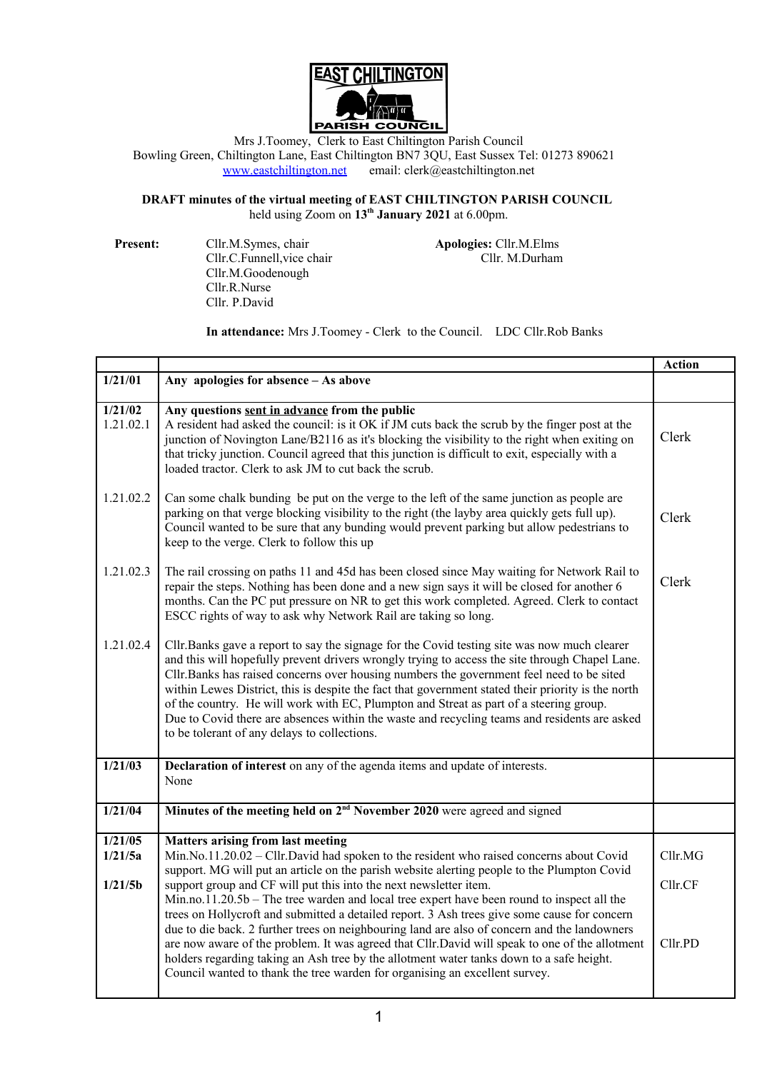

Mrs J.Toomey, Clerk to East Chiltington Parish Council Bowling Green, Chiltington Lane, East Chiltington BN7 3QU, East Sussex Tel: 01273 890621<br>www.eastchiltington.net email: clerk@eastchiltington.net email: clerk@eastchiltington.net

## **DRAFT minutes of the virtual meeting of EAST CHILTINGTON PARISH COUNCIL** held using Zoom on **13th January 2021** at 6.00pm.

**Present:** Cllr.M.Symes, chair **Apologies:** Cllr.M.Elms<br>Cllr.C.Funnell.vice chair Cllr. M.Durham Cllr.C.Funnell, vice chair Cllr.M.Goodenough Cllr.R.Nurse Cllr. P.David

**In attendance:** Mrs J.Toomey - Clerk to the Council. LDC Cllr.Rob Banks

|                      |                                                                                                                                                                                                                                                                                                                                                                                                                                                                                                                                                                                                                                             | <b>Action</b> |
|----------------------|---------------------------------------------------------------------------------------------------------------------------------------------------------------------------------------------------------------------------------------------------------------------------------------------------------------------------------------------------------------------------------------------------------------------------------------------------------------------------------------------------------------------------------------------------------------------------------------------------------------------------------------------|---------------|
| 1/21/01              | Any apologies for absence - As above                                                                                                                                                                                                                                                                                                                                                                                                                                                                                                                                                                                                        |               |
| 1/21/02<br>1.21.02.1 | Any questions sent in advance from the public<br>A resident had asked the council: is it OK if JM cuts back the scrub by the finger post at the<br>junction of Novington Lane/B2116 as it's blocking the visibility to the right when exiting on<br>that tricky junction. Council agreed that this junction is difficult to exit, especially with a<br>loaded tractor. Clerk to ask JM to cut back the scrub.                                                                                                                                                                                                                               | Clerk         |
| 1.21.02.2            | Can some chalk bunding be put on the verge to the left of the same junction as people are<br>parking on that verge blocking visibility to the right (the layby area quickly gets full up).<br>Council wanted to be sure that any bunding would prevent parking but allow pedestrians to<br>keep to the verge. Clerk to follow this up                                                                                                                                                                                                                                                                                                       | Clerk         |
| 1.21.02.3            | The rail crossing on paths 11 and 45d has been closed since May waiting for Network Rail to<br>repair the steps. Nothing has been done and a new sign says it will be closed for another 6<br>months. Can the PC put pressure on NR to get this work completed. Agreed. Clerk to contact<br>ESCC rights of way to ask why Network Rail are taking so long.                                                                                                                                                                                                                                                                                  | Clerk         |
| 1.21.02.4            | Cllr. Banks gave a report to say the signage for the Covid testing site was now much clearer<br>and this will hopefully prevent drivers wrongly trying to access the site through Chapel Lane.<br>Cllr. Banks has raised concerns over housing numbers the government feel need to be sited<br>within Lewes District, this is despite the fact that government stated their priority is the north<br>of the country. He will work with EC, Plumpton and Streat as part of a steering group.<br>Due to Covid there are absences within the waste and recycling teams and residents are asked<br>to be tolerant of any delays to collections. |               |
| 1/21/03              | Declaration of interest on any of the agenda items and update of interests.<br>None                                                                                                                                                                                                                                                                                                                                                                                                                                                                                                                                                         |               |
| 1/21/04              | Minutes of the meeting held on 2 <sup>nd</sup> November 2020 were agreed and signed                                                                                                                                                                                                                                                                                                                                                                                                                                                                                                                                                         |               |
| 1/21/05<br>1/21/5a   | <b>Matters arising from last meeting</b><br>$Min No.11.20.02 - Cllr.David had spoken to the resident who raised concerns about Covid$<br>support. MG will put an article on the parish website alerting people to the Plumpton Covid                                                                                                                                                                                                                                                                                                                                                                                                        | Cllr.MG       |
| 1/21/5b              | support group and CF will put this into the next newsletter item.<br>$Min.no.11.20.5b$ – The tree warden and local tree expert have been round to inspect all the<br>trees on Hollycroft and submitted a detailed report. 3 Ash trees give some cause for concern                                                                                                                                                                                                                                                                                                                                                                           | Cllr.CF       |
|                      | due to die back. 2 further trees on neighbouring land are also of concern and the landowners<br>are now aware of the problem. It was agreed that Cllr. David will speak to one of the allotment<br>holders regarding taking an Ash tree by the allotment water tanks down to a safe height.<br>Council wanted to thank the tree warden for organising an excellent survey.                                                                                                                                                                                                                                                                  | Cllr.PD       |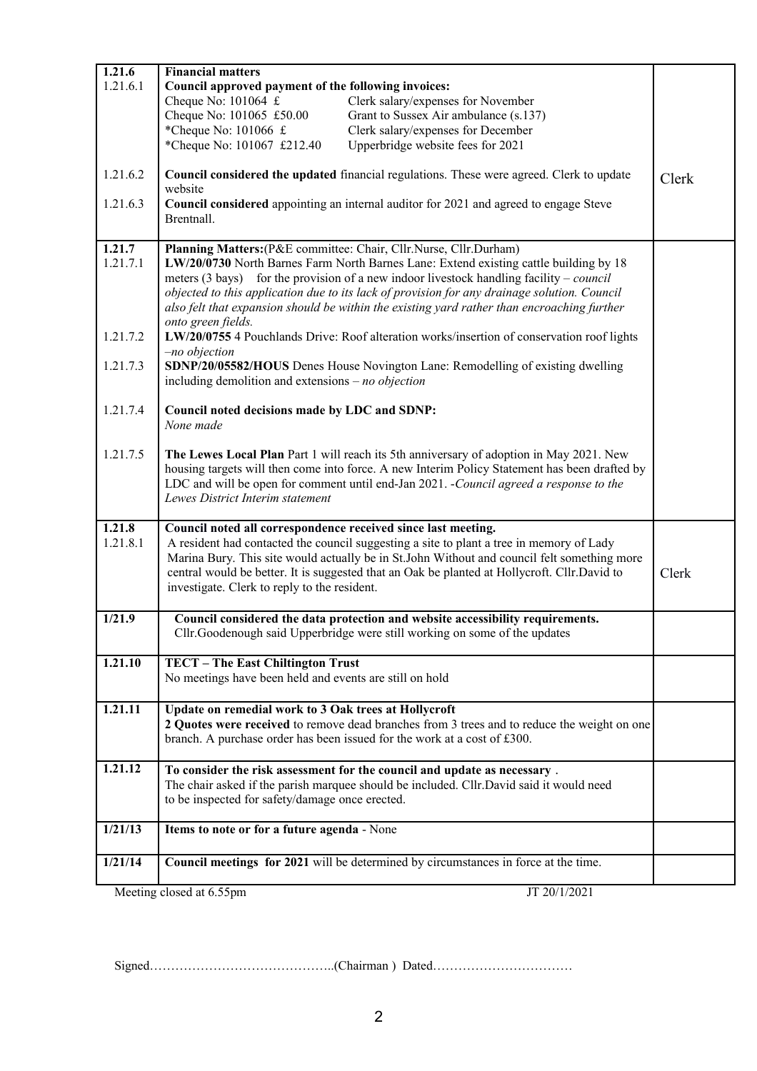| 1.21.6                                   | <b>Financial matters</b>                                                                                                                                                                                                                                                                                                                                                                                                                                                          |       |
|------------------------------------------|-----------------------------------------------------------------------------------------------------------------------------------------------------------------------------------------------------------------------------------------------------------------------------------------------------------------------------------------------------------------------------------------------------------------------------------------------------------------------------------|-------|
| 1.21.6.1                                 | Council approved payment of the following invoices:                                                                                                                                                                                                                                                                                                                                                                                                                               |       |
|                                          | Cheque No: $101064 \text{ } \pounds$<br>Clerk salary/expenses for November                                                                                                                                                                                                                                                                                                                                                                                                        |       |
|                                          | Cheque No: 101065 £50.00<br>Grant to Sussex Air ambulance (s.137)                                                                                                                                                                                                                                                                                                                                                                                                                 |       |
|                                          | *Cheque No: $101066 \text{ } \pounds$<br>Clerk salary/expenses for December                                                                                                                                                                                                                                                                                                                                                                                                       |       |
|                                          | *Cheque No: 101067 £212.40<br>Upperbridge website fees for 2021                                                                                                                                                                                                                                                                                                                                                                                                                   |       |
| 1.21.6.2                                 | Council considered the updated financial regulations. These were agreed. Clerk to update<br>website                                                                                                                                                                                                                                                                                                                                                                               | Clerk |
| 1.21.6.3                                 | Council considered appointing an internal auditor for 2021 and agreed to engage Steve<br>Brentnall.                                                                                                                                                                                                                                                                                                                                                                               |       |
|                                          |                                                                                                                                                                                                                                                                                                                                                                                                                                                                                   |       |
| 1.21.7<br>1.21.7.1                       | Planning Matters: (P&E committee: Chair, Cllr.Nurse, Cllr.Durham)<br>LW/20/0730 North Barnes Farm North Barnes Lane: Extend existing cattle building by 18<br>meters (3 bays) for the provision of a new indoor livestock handling facility – <i>council</i><br>objected to this application due to its lack of provision for any drainage solution. Council<br>also felt that expansion should be within the existing yard rather than encroaching further<br>onto green fields. |       |
| 1.21.7.2                                 | LW/20/0755 4 Pouchlands Drive: Roof alteration works/insertion of conservation roof lights<br>-no objection                                                                                                                                                                                                                                                                                                                                                                       |       |
| 1.21.7.3                                 | SDNP/20/05582/HOUS Denes House Novington Lane: Remodelling of existing dwelling<br>including demolition and extensions $- no$ objection                                                                                                                                                                                                                                                                                                                                           |       |
| 1.21.7.4                                 | Council noted decisions made by LDC and SDNP:<br>None made                                                                                                                                                                                                                                                                                                                                                                                                                        |       |
| 1.21.7.5                                 | The Lewes Local Plan Part 1 will reach its 5th anniversary of adoption in May 2021. New<br>housing targets will then come into force. A new Interim Policy Statement has been drafted by<br>LDC and will be open for comment until end-Jan 2021. -Council agreed a response to the<br>Lewes District Interim statement                                                                                                                                                            |       |
| 1.21.8<br>1.21.8.1                       | Council noted all correspondence received since last meeting.<br>A resident had contacted the council suggesting a site to plant a tree in memory of Lady<br>Marina Bury. This site would actually be in St.John Without and council felt something more<br>central would be better. It is suggested that an Oak be planted at Hollycroft. Cllr.David to<br>investigate. Clerk to reply to the resident.                                                                          | Clerk |
| 1/21.9                                   | Council considered the data protection and website accessibility requirements.<br>Cllr.Goodenough said Upperbridge were still working on some of the updates                                                                                                                                                                                                                                                                                                                      |       |
| 1.21.10                                  | TECT - The East Chiltington Trust<br>No meetings have been held and events are still on hold                                                                                                                                                                                                                                                                                                                                                                                      |       |
| 1.21.11                                  | Update on remedial work to 3 Oak trees at Hollycroft<br>2 Quotes were received to remove dead branches from 3 trees and to reduce the weight on one<br>branch. A purchase order has been issued for the work at a cost of £300.                                                                                                                                                                                                                                                   |       |
| 1.21.12                                  | To consider the risk assessment for the council and update as necessary.<br>The chair asked if the parish marquee should be included. Cllr. David said it would need<br>to be inspected for safety/damage once erected.                                                                                                                                                                                                                                                           |       |
| 1/21/13                                  | Items to note or for a future agenda - None                                                                                                                                                                                                                                                                                                                                                                                                                                       |       |
| 1/21/14                                  | Council meetings for 2021 will be determined by circumstances in force at the time.                                                                                                                                                                                                                                                                                                                                                                                               |       |
| Meeting closed at 6.55pm<br>JT 20/1/2021 |                                                                                                                                                                                                                                                                                                                                                                                                                                                                                   |       |

Signed……………………………………..(Chairman ) Dated……………………………